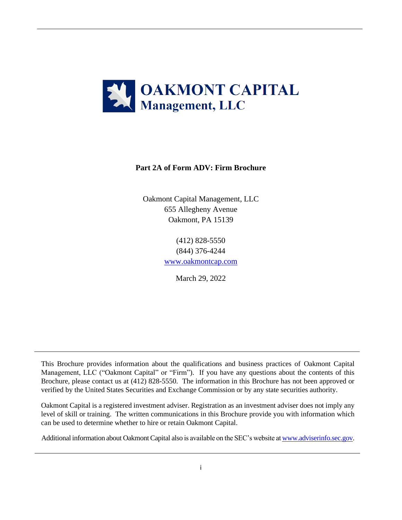

# **Part 2A of Form ADV: Firm Brochure**

Oakmont Capital Management, LLC 655 Allegheny Avenue Oakmont, PA 15139

> (412) 828-5550 (844) 376-4244 [www.oakmontcap.com](http://www.oakmontcap.com/)

> > March 29, 2022

This Brochure provides information about the qualifications and business practices of Oakmont Capital Management, LLC ("Oakmont Capital" or "Firm"). If you have any questions about the contents of this Brochure, please contact us at (412) 828-5550. The information in this Brochure has not been approved or verified by the United States Securities and Exchange Commission or by any state securities authority.

Oakmont Capital is a registered investment adviser. Registration as an investment adviser does not imply any level of skill or training. The written communications in this Brochure provide you with information which can be used to determine whether to hire or retain Oakmont Capital.

Additional information about Oakmont Capital also is available on the SEC's website a[t www.adviserinfo.sec.gov.](http://www.adviserinfo.sec.gov/)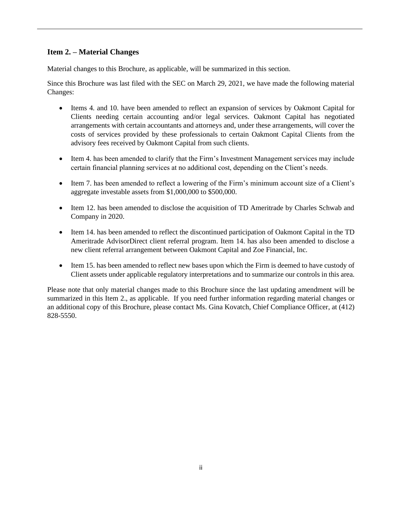# **Item 2. – Material Changes**

Material changes to this Brochure, as applicable, will be summarized in this section.

Since this Brochure was last filed with the SEC on March 29, 2021, we have made the following material Changes:

- Items 4. and 10. have been amended to reflect an expansion of services by Oakmont Capital for Clients needing certain accounting and/or legal services. Oakmont Capital has negotiated arrangements with certain accountants and attorneys and, under these arrangements, will cover the costs of services provided by these professionals to certain Oakmont Capital Clients from the advisory fees received by Oakmont Capital from such clients.
- Item 4. has been amended to clarify that the Firm's Investment Management services may include certain financial planning services at no additional cost, depending on the Client's needs.
- Item 7. has been amended to reflect a lowering of the Firm's minimum account size of a Client's aggregate investable assets from \$1,000,000 to \$500,000.
- Item 12. has been amended to disclose the acquisition of TD Ameritrade by Charles Schwab and Company in 2020.
- Item 14. has been amended to reflect the discontinued participation of Oakmont Capital in the TD Ameritrade AdvisorDirect client referral program. Item 14. has also been amended to disclose a new client referral arrangement between Oakmont Capital and Zoe Financial, Inc.
- Item 15. has been amended to reflect new bases upon which the Firm is deemed to have custody of Client assets under applicable regulatory interpretations and to summarize our controls in this area.

Please note that only material changes made to this Brochure since the last updating amendment will be summarized in this Item 2., as applicable. If you need further information regarding material changes or an additional copy of this Brochure, please contact Ms. Gina Kovatch, Chief Compliance Officer, at (412) 828-5550.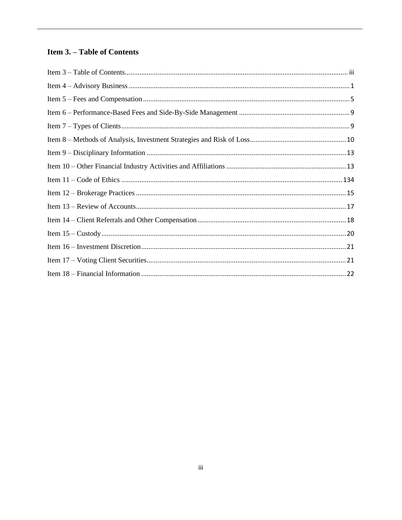# <span id="page-2-0"></span>**Item 3. - Table of Contents**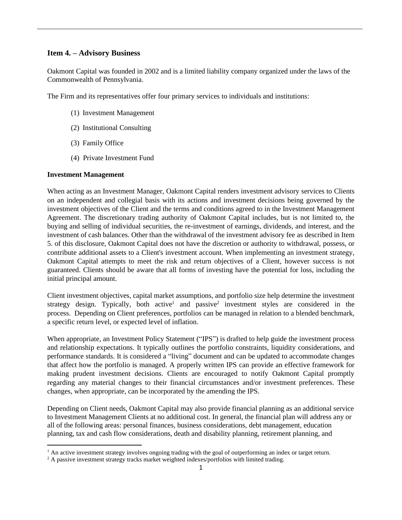### <span id="page-3-0"></span>**Item 4. – Advisory Business**

Oakmont Capital was founded in 2002 and is a limited liability company organized under the laws of the Commonwealth of Pennsylvania.

The Firm and its representatives offer four primary services to individuals and institutions:

- (1) Investment Management
- (2) Institutional Consulting
- (3) Family Office
- (4) Private Investment Fund

#### **Investment Management**

When acting as an Investment Manager, Oakmont Capital renders investment advisory services to Clients on an independent and collegial basis with its actions and investment decisions being governed by the investment objectives of the Client and the terms and conditions agreed to in the Investment Management Agreement. The discretionary trading authority of Oakmont Capital includes, but is not limited to, the buying and selling of individual securities, the re-investment of earnings, dividends, and interest, and the investment of cash balances. Other than the withdrawal of the investment advisory fee as described in Item 5. of this disclosure, Oakmont Capital does not have the discretion or authority to withdrawal, possess, or contribute additional assets to a Client's investment account. When implementing an investment strategy, Oakmont Capital attempts to meet the risk and return objectives of a Client, however success is not guaranteed. Clients should be aware that all forms of investing have the potential for loss, including the initial principal amount.

Client investment objectives, capital market assumptions, and portfolio size help determine the investment strategy design. Typically, both active<sup>1</sup> and passive<sup>2</sup> investment styles are considered in the process. Depending on Client preferences, portfolios can be managed in relation to a blended benchmark, a specific return level, or expected level of inflation.

When appropriate, an Investment Policy Statement ("IPS") is drafted to help guide the investment process and relationship expectations. It typically outlines the portfolio constraints, liquidity considerations, and performance standards. It is considered a "living" document and can be updated to accommodate changes that affect how the portfolio is managed. A properly written IPS can provide an effective framework for making prudent investment decisions. Clients are encouraged to notify Oakmont Capital promptly regarding any material changes to their financial circumstances and/or investment preferences. These changes, when appropriate, can be incorporated by the amending the IPS.

Depending on Client needs, Oakmont Capital may also provide financial planning as an additional service to Investment Management Clients at no additional cost. In general, the financial plan will address any or all of the following areas: personal finances, business considerations, debt management, education planning, tax and cash flow considerations, death and disability planning, retirement planning, and

 $<sup>1</sup>$  An active investment strategy involves ongoing trading with the goal of outperforming an index or target return.</sup>

<sup>&</sup>lt;sup>2</sup> A passive investment strategy tracks market weighted indexes/portfolios with limited trading.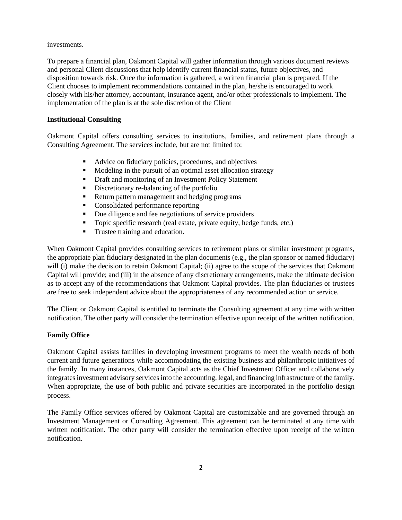### investments.

To prepare a financial plan, Oakmont Capital will gather information through various document reviews and personal Client discussions that help identify current financial status, future objectives, and disposition towards risk. Once the information is gathered, a written financial plan is prepared. If the Client chooses to implement recommendations contained in the plan, he/she is encouraged to work closely with his/her attorney, accountant, insurance agent, and/or other professionals to implement. The implementation of the plan is at the sole discretion of the Client

# **Institutional Consulting**

Oakmont Capital offers consulting services to institutions, families, and retirement plans through a Consulting Agreement. The services include, but are not limited to:

- Advice on fiduciary policies, procedures, and objectives
- Modeling in the pursuit of an optimal asset allocation strategy
- Draft and monitoring of an Investment Policy Statement
- **•** Discretionary re-balancing of the portfolio
- Return pattern management and hedging programs
- Consolidated performance reporting
- Due diligence and fee negotiations of service providers
- Topic specific research (real estate, private equity, hedge funds, etc.)
- **•** Trustee training and education.

When Oakmont Capital provides consulting services to retirement plans or similar investment programs, the appropriate plan fiduciary designated in the plan documents (e.g., the plan sponsor or named fiduciary) will (i) make the decision to retain Oakmont Capital; (ii) agree to the scope of the services that Oakmont Capital will provide; and (iii) in the absence of any discretionary arrangements, make the ultimate decision as to accept any of the recommendations that Oakmont Capital provides. The plan fiduciaries or trustees are free to seek independent advice about the appropriateness of any recommended action or service.

The Client or Oakmont Capital is entitled to terminate the Consulting agreement at any time with written notification. The other party will consider the termination effective upon receipt of the written notification.

# **Family Office**

Oakmont Capital assists families in developing investment programs to meet the wealth needs of both current and future generations while accommodating the existing business and philanthropic initiatives of the family. In many instances, Oakmont Capital acts as the Chief Investment Officer and collaboratively integrates investment advisory services into the accounting, legal, and financing infrastructure of the family. When appropriate, the use of both public and private securities are incorporated in the portfolio design process.

The Family Office services offered by Oakmont Capital are customizable and are governed through an Investment Management or Consulting Agreement. This agreement can be terminated at any time with written notification. The other party will consider the termination effective upon receipt of the written notification.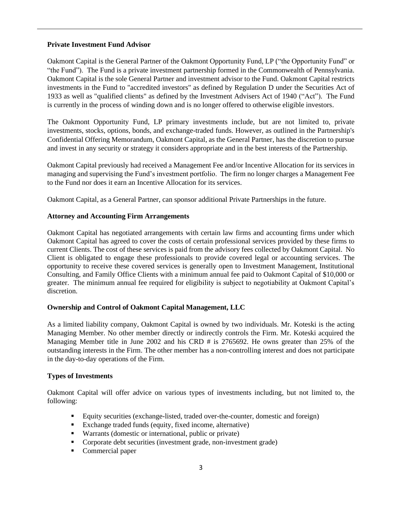### **Private Investment Fund Advisor**

Oakmont Capital is the General Partner of the Oakmont Opportunity Fund, LP ("the Opportunity Fund" or "the Fund"). The Fund is a private investment partnership formed in the Commonwealth of Pennsylvania. Oakmont Capital is the sole General Partner and investment advisor to the Fund. Oakmont Capital restricts investments in the Fund to "accredited investors" as defined by Regulation D under the Securities Act of 1933 as well as "qualified clients" as defined by the Investment Advisers Act of 1940 ("Act"). The Fund is currently in the process of winding down and is no longer offered to otherwise eligible investors.

The Oakmont Opportunity Fund, LP primary investments include, but are not limited to, private investments, stocks, options, bonds, and exchange-traded funds. However, as outlined in the Partnership's Confidential Offering Memorandum, Oakmont Capital, as the General Partner, has the discretion to pursue and invest in any security or strategy it considers appropriate and in the best interests of the Partnership.

Oakmont Capital previously had received a Management Fee and/or Incentive Allocation for its services in managing and supervising the Fund's investment portfolio. The firm no longer charges a Management Fee to the Fund nor does it earn an Incentive Allocation for its services.

Oakmont Capital, as a General Partner, can sponsor additional Private Partnerships in the future.

# **Attorney and Accounting Firm Arrangements**

Oakmont Capital has negotiated arrangements with certain law firms and accounting firms under which Oakmont Capital has agreed to cover the costs of certain professional services provided by these firms to current Clients. The cost of these services is paid from the advisory fees collected by Oakmont Capital. No Client is obligated to engage these professionals to provide covered legal or accounting services. The opportunity to receive these covered services is generally open to Investment Management, Institutional Consulting, and Family Office Clients with a minimum annual fee paid to Oakmont Capital of \$10,000 or greater. The minimum annual fee required for eligibility is subject to negotiability at Oakmont Capital's discretion.

# **Ownership and Control of Oakmont Capital Management, LLC**

As a limited liability company, Oakmont Capital is owned by two individuals. Mr. Koteski is the acting Managing Member. No other member directly or indirectly controls the Firm. Mr. Koteski acquired the Managing Member title in June 2002 and his CRD # is 2765692. He owns greater than 25% of the outstanding interests in the Firm. The other member has a non-controlling interest and does not participate in the day-to-day operations of the Firm.

# **Types of Investments**

Oakmont Capital will offer advice on various types of investments including, but not limited to, the following:

- Equity securities (exchange-listed, traded over-the-counter, domestic and foreign)
- Exchange traded funds (equity, fixed income, alternative)
- Warrants (domestic or international, public or private)
- Corporate debt securities (investment grade, non-investment grade)
- Commercial paper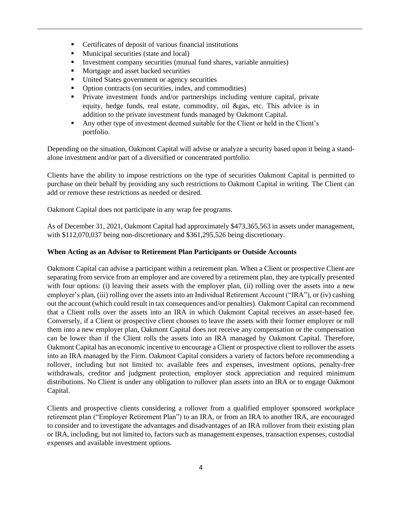- Certificates of deposit of various financial institutions
- Municipal securities (state and local)
- Investment company securities (mutual fund shares, variable annuities)
- Mortgage and asset backed securities
- **•** United States government or agency securities
- Option contracts (on securities, index, and commodities)
- Private investment funds and/or partnerships including venture capital, private equity, hedge funds, real estate, commodity, oil &gas, etc. This advice is in addition to the private investment funds managed by Oakmont Capital.
- Any other type of investment deemed suitable for the Client or held in the Client's portfolio.

Depending on the situation, Oakmont Capital will advise or analyze a security based upon it being a standalone investment and/or part of a diversified or concentrated portfolio.

Clients have the ability to impose restrictions on the type of securities Oakmont Capital is permitted to purchase on their behalf by providing any such restrictions to Oakmont Capital in writing. The Client can add or remove these restrictions as needed or desired.

Oakmont Capital does not participate in any wrap fee programs.

As of December 31, 2021, Oakmont Capital had approximately \$473,365,563 in assets under management, with \$112,070,037 being non-discretionary and \$361,295,526 being discretionary.

### **When Acting as an Advisor to Retirement Plan Participants or Outside Accounts**

Oakmont Capital can advise a participant within a retirement plan. When a Client or prospective Client are separating from service from an employer and are covered by a retirement plan, they are typically presented with four options: (i) leaving their assets with the employer plan, (ii) rolling over the assets into a new employer's plan, (iii) rolling over the assets into an Individual Retirement Account ("IRA"), or (iv) cashing out the account (which could result in tax consequences and/or penalties). Oakmont Capital can recommend that a Client rolls over the assets into an IRA in which Oakmont Capital receives an asset-based fee. Conversely, if a Client or prospective client chooses to leave the assets with their former employer or roll them into a new employer plan, Oakmont Capital does not receive any compensation or the compensation can be lower than if the Client rolls the assets into an IRA managed by Oakmont Capital. Therefore, Oakmont Capital has an economic incentive to encourage a Client or prospective client to rollover the assets into an IRA managed by the Firm. Oakmont Capital considers a variety of factors before recommending a rollover, including but not limited to: available fees and expenses, investment options, penalty-free withdrawals, creditor and judgment protection, employer stock appreciation and required minimum distributions. No Client is under any obligation to rollover plan assets into an IRA or to engage Oakmont Capital.

Clients and prospective clients considering a rollover from a qualified employer sponsored workplace retirement plan ("Employer Retirement Plan") to an IRA, or from an IRA to another IRA, are encouraged to consider and to investigate the advantages and disadvantages of an IRA rollover from their existing plan or IRA, including, but not limited to, factors such as management expenses, transaction expenses, custodial expenses and available investment options.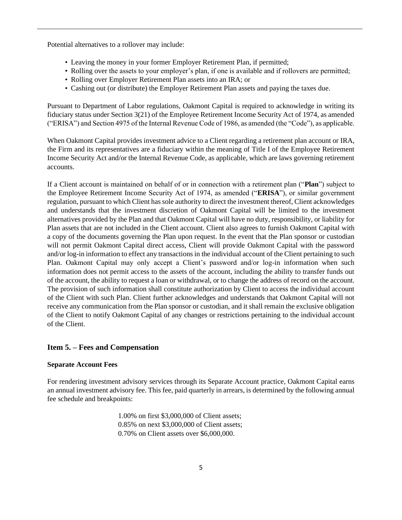Potential alternatives to a rollover may include:

- Leaving the money in your former Employer Retirement Plan, if permitted;
- Rolling over the assets to your employer's plan, if one is available and if rollovers are permitted;
- Rolling over Employer Retirement Plan assets into an IRA; or
- Cashing out (or distribute) the Employer Retirement Plan assets and paying the taxes due.

Pursuant to Department of Labor regulations, Oakmont Capital is required to acknowledge in writing its fiduciary status under Section 3(21) of the Employee Retirement Income Security Act of 1974, as amended ("ERISA") and Section 4975 of the Internal Revenue Code of 1986, as amended (the "Code"), as applicable.

When Oakmont Capital provides investment advice to a Client regarding a retirement plan account or IRA, the Firm and its representatives are a fiduciary within the meaning of Title I of the Employee Retirement Income Security Act and/or the Internal Revenue Code, as applicable, which are laws governing retirement accounts.

If a Client account is maintained on behalf of or in connection with a retirement plan ("**Plan**") subject to the Employee Retirement Income Security Act of 1974, as amended ("**ERISA**"), or similar government regulation, pursuant to which Client has sole authority to direct the investment thereof, Client acknowledges and understands that the investment discretion of Oakmont Capital will be limited to the investment alternatives provided by the Plan and that Oakmont Capital will have no duty, responsibility, or liability for Plan assets that are not included in the Client account. Client also agrees to furnish Oakmont Capital with a copy of the documents governing the Plan upon request. In the event that the Plan sponsor or custodian will not permit Oakmont Capital direct access, Client will provide Oakmont Capital with the password and/or log-in information to effect any transactions in the individual account of the Client pertaining to such Plan. Oakmont Capital may only accept a Client's password and/or log-in information when such information does not permit access to the assets of the account, including the ability to transfer funds out of the account, the ability to request a loan or withdrawal, or to change the address of record on the account. The provision of such information shall constitute authorization by Client to access the individual account of the Client with such Plan. Client further acknowledges and understands that Oakmont Capital will not receive any communication from the Plan sponsor or custodian, and it shall remain the exclusive obligation of the Client to notify Oakmont Capital of any changes or restrictions pertaining to the individual account of the Client.

### <span id="page-7-0"></span>**Item 5. – Fees and Compensation**

#### **Separate Account Fees**

For rendering investment advisory services through its Separate Account practice, Oakmont Capital earns an annual investment advisory fee. This fee, paid quarterly in arrears, is determined by the following annual fee schedule and breakpoints:

> 1.00% on first \$3,000,000 of Client assets; 0.85% on next \$3,000,000 of Client assets; 0.70% on Client assets over \$6,000,000.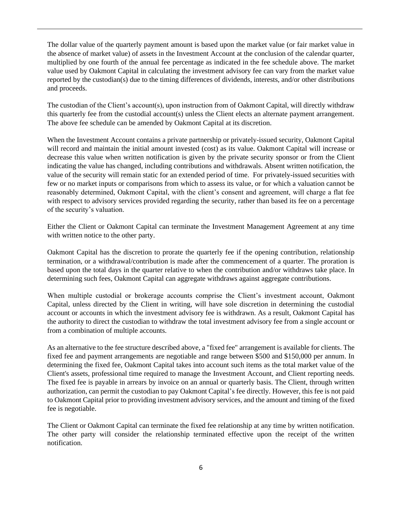The dollar value of the quarterly payment amount is based upon the market value (or fair market value in the absence of market value) of assets in the Investment Account at the conclusion of the calendar quarter, multiplied by one fourth of the annual fee percentage as indicated in the fee schedule above. The market value used by Oakmont Capital in calculating the investment advisory fee can vary from the market value reported by the custodian(s) due to the timing differences of dividends, interests, and/or other distributions and proceeds.

The custodian of the Client's account(s), upon instruction from of Oakmont Capital, will directly withdraw this quarterly fee from the custodial account(s) unless the Client elects an alternate payment arrangement. The above fee schedule can be amended by Oakmont Capital at its discretion.

When the Investment Account contains a private partnership or privately-issued security, Oakmont Capital will record and maintain the initial amount invested (cost) as its value. Oakmont Capital will increase or decrease this value when written notification is given by the private security sponsor or from the Client indicating the value has changed, including contributions and withdrawals. Absent written notification, the value of the security will remain static for an extended period of time. For privately-issued securities with few or no market inputs or comparisons from which to assess its value, or for which a valuation cannot be reasonably determined, Oakmont Capital, with the client's consent and agreement, will charge a flat fee with respect to advisory services provided regarding the security, rather than based its fee on a percentage of the security's valuation.

Either the Client or Oakmont Capital can terminate the Investment Management Agreement at any time with written notice to the other party.

Oakmont Capital has the discretion to prorate the quarterly fee if the opening contribution, relationship termination, or a withdrawal/contribution is made after the commencement of a quarter. The proration is based upon the total days in the quarter relative to when the contribution and/or withdraws take place. In determining such fees, Oakmont Capital can aggregate withdraws against aggregate contributions.

When multiple custodial or brokerage accounts comprise the Client's investment account, Oakmont Capital, unless directed by the Client in writing, will have sole discretion in determining the custodial account or accounts in which the investment advisory fee is withdrawn. As a result, Oakmont Capital has the authority to direct the custodian to withdraw the total investment advisory fee from a single account or from a combination of multiple accounts.

As an alternative to the fee structure described above, a "fixed fee" arrangement is available for clients. The fixed fee and payment arrangements are negotiable and range between \$500 and \$150,000 per annum. In determining the fixed fee, Oakmont Capital takes into account such items as the total market value of the Client's assets, professional time required to manage the Investment Account, and Client reporting needs. The fixed fee is payable in arrears by invoice on an annual or quarterly basis. The Client, through written authorization, can permit the custodian to pay Oakmont Capital's fee directly. However, this fee is not paid to Oakmont Capital prior to providing investment advisory services, and the amount and timing of the fixed fee is negotiable.

The Client or Oakmont Capital can terminate the fixed fee relationship at any time by written notification. The other party will consider the relationship terminated effective upon the receipt of the written notification.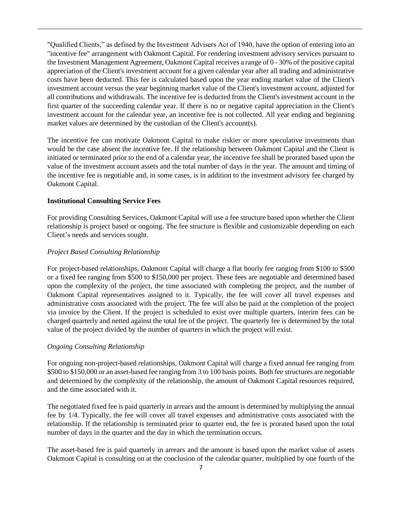"Qualified Clients," as defined by the Investment Advisers Act of 1940, have the option of entering into an "incentive fee" arrangement with Oakmont Capital. For rendering investment advisory services pursuant to the Investment Management Agreement, Oakmont Capital receives a range of 0 - 30% of the positive capital appreciation of the Client's investment account for a given calendar year after all trading and administrative costs have been deducted. This fee is calculated based upon the year ending market value of the Client's investment account versus the year beginning market value of the Client's investment account, adjusted for all contributions and withdrawals. The incentive fee is deducted from the Client's investment account in the first quarter of the succeeding calendar year. If there is no or negative capital appreciation in the Client's investment account for the calendar year, an incentive fee is not collected. All year ending and beginning market values are determined by the custodian of the Client's account(s).

The incentive fee can motivate Oakmont Capital to make riskier or more speculative investments than would be the case absent the incentive fee. If the relationship between Oakmont Capital and the Client is initiated or terminated prior to the end of a calendar year, the incentive fee shall be prorated based upon the value of the investment account assets and the total number of days in the year. The amount and timing of the incentive fee is negotiable and, in some cases, is in addition to the investment advisory fee charged by Oakmont Capital.

# **Institutional Consulting Service Fees**

For providing Consulting Services, Oakmont Capital will use a fee structure based upon whether the Client relationship is project based or ongoing. The fee structure is flexible and customizable depending on each Client's needs and services sought.

### *Project Based Consulting Relationship*

For project-based relationships, Oakmont Capital will charge a flat hourly fee ranging from \$100 to \$500 or a fixed fee ranging from \$500 to \$150,000 per project. These fees are negotiable and determined based upon the complexity of the project, the time associated with completing the project, and the number of Oakmont Capital representatives assigned to it. Typically, the fee will cover all travel expenses and administrative costs associated with the project. The fee will also be paid at the completion of the project via invoice by the Client. If the project is scheduled to exist over multiple quarters, interim fees can be charged quarterly and netted against the total fee of the project. The quarterly fee is determined by the total value of the project divided by the number of quarters in which the project will exist.

### *Ongoing Consulting Relationship*

For ongoing non-project-based relationships, Oakmont Capital will charge a fixed annual fee ranging from \$500 to \$150,000 or an asset-based fee ranging from 3 to 100 basis points. Both fee structures are negotiable and determined by the complexity of the relationship, the amount of Oakmont Capital resources required, and the time associated with it.

The negotiated fixed fee is paid quarterly in arrears and the amount is determined by multiplying the annual fee by 1/4. Typically, the fee will cover all travel expenses and administrative costs associated with the relationship. If the relationship is terminated prior to quarter end, the fee is prorated based upon the total number of days in the quarter and the day in which the termination occurs.

The asset-based fee is paid quarterly in arrears and the amount is based upon the market value of assets Oakmont Capital is consulting on at the conclusion of the calendar quarter, multiplied by one fourth of the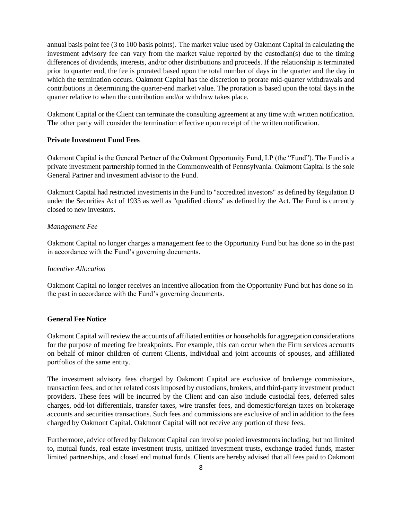annual basis point fee (3 to 100 basis points). The market value used by Oakmont Capital in calculating the investment advisory fee can vary from the market value reported by the custodian(s) due to the timing differences of dividends, interests, and/or other distributions and proceeds. If the relationship is terminated prior to quarter end, the fee is prorated based upon the total number of days in the quarter and the day in which the termination occurs. Oakmont Capital has the discretion to prorate mid-quarter withdrawals and contributions in determining the quarter-end market value. The proration is based upon the total days in the quarter relative to when the contribution and/or withdraw takes place.

Oakmont Capital or the Client can terminate the consulting agreement at any time with written notification. The other party will consider the termination effective upon receipt of the written notification.

#### **Private Investment Fund Fees**

Oakmont Capital is the General Partner of the Oakmont Opportunity Fund, LP (the "Fund"). The Fund is a private investment partnership formed in the Commonwealth of Pennsylvania. Oakmont Capital is the sole General Partner and investment advisor to the Fund.

Oakmont Capital had restricted investments in the Fund to "accredited investors" as defined by Regulation D under the Securities Act of 1933 as well as "qualified clients" as defined by the Act. The Fund is currently closed to new investors.

#### *Management Fee*

Oakmont Capital no longer charges a management fee to the Opportunity Fund but has done so in the past in accordance with the Fund's governing documents.

#### *Incentive Allocation*

Oakmont Capital no longer receives an incentive allocation from the Opportunity Fund but has done so in the past in accordance with the Fund's governing documents.

#### **General Fee Notice**

Oakmont Capital will review the accounts of affiliated entities or households for aggregation considerations for the purpose of meeting fee breakpoints. For example, this can occur when the Firm services accounts on behalf of minor children of current Clients, individual and joint accounts of spouses, and affiliated portfolios of the same entity.

The investment advisory fees charged by Oakmont Capital are exclusive of brokerage commissions, transaction fees, and other related costs imposed by custodians, brokers, and third-party investment product providers. These fees will be incurred by the Client and can also include custodial fees, deferred sales charges, odd-lot differentials, transfer taxes, wire transfer fees, and domestic/foreign taxes on brokerage accounts and securities transactions. Such fees and commissions are exclusive of and in addition to the fees charged by Oakmont Capital. Oakmont Capital will not receive any portion of these fees.

Furthermore, advice offered by Oakmont Capital can involve pooled investments including, but not limited to, mutual funds, real estate investment trusts, unitized investment trusts, exchange traded funds, master limited partnerships, and closed end mutual funds. Clients are hereby advised that all fees paid to Oakmont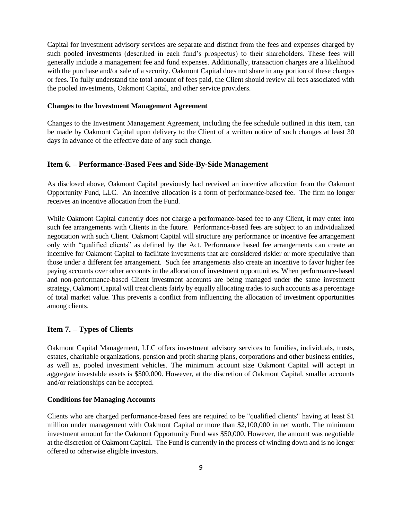Capital for investment advisory services are separate and distinct from the fees and expenses charged by such pooled investments (described in each fund's prospectus) to their shareholders. These fees will generally include a management fee and fund expenses. Additionally, transaction charges are a likelihood with the purchase and/or sale of a security. Oakmont Capital does not share in any portion of these charges or fees. To fully understand the total amount of fees paid, the Client should review all fees associated with the pooled investments, Oakmont Capital, and other service providers.

#### **Changes to the Investment Management Agreement**

Changes to the Investment Management Agreement, including the fee schedule outlined in this item, can be made by Oakmont Capital upon delivery to the Client of a written notice of such changes at least 30 days in advance of the effective date of any such change.

### <span id="page-11-0"></span>**Item 6. – Performance-Based Fees and Side-By-Side Management**

As disclosed above, Oakmont Capital previously had received an incentive allocation from the Oakmont Opportunity Fund, LLC. An incentive allocation is a form of performance-based fee. The firm no longer receives an incentive allocation from the Fund.

While Oakmont Capital currently does not charge a performance-based fee to any Client, it may enter into such fee arrangements with Clients in the future. Performance-based fees are subject to an individualized negotiation with such Client. Oakmont Capital will structure any performance or incentive fee arrangement only with "qualified clients" as defined by the Act. Performance based fee arrangements can create an incentive for Oakmont Capital to facilitate investments that are considered riskier or more speculative than those under a different fee arrangement. Such fee arrangements also create an incentive to favor higher fee paying accounts over other accounts in the allocation of investment opportunities. When performance-based and non-performance-based Client investment accounts are being managed under the same investment strategy, Oakmont Capital will treat clients fairly by equally allocating trades to such accounts as a percentage of total market value. This prevents a conflict from influencing the allocation of investment opportunities among clients.

# <span id="page-11-1"></span>**Item 7. – Types of Clients**

Oakmont Capital Management, LLC offers investment advisory services to families, individuals, trusts, estates, charitable organizations, pension and profit sharing plans, corporations and other business entities, as well as, pooled investment vehicles. The minimum account size Oakmont Capital will accept in aggregate investable assets is \$500,000. However, at the discretion of Oakmont Capital, smaller accounts and/or relationships can be accepted.

### **Conditions for Managing Accounts**

Clients who are charged performance-based fees are required to be "qualified clients" having at least \$1 million under management with Oakmont Capital or more than \$2,100,000 in net worth. The minimum investment amount for the Oakmont Opportunity Fund was \$50,000. However, the amount was negotiable at the discretion of Oakmont Capital. The Fund is currently in the process of winding down and is no longer offered to otherwise eligible investors.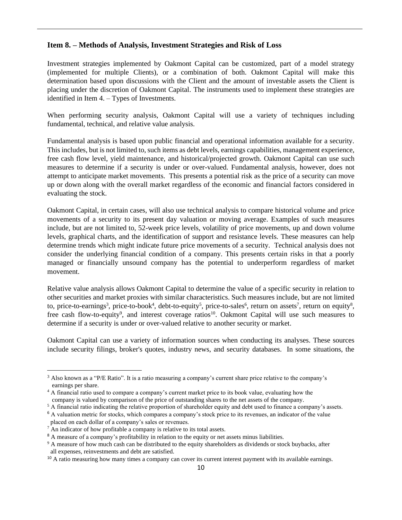### <span id="page-12-0"></span>**Item 8. – Methods of Analysis, Investment Strategies and Risk of Loss**

Investment strategies implemented by Oakmont Capital can be customized, part of a model strategy (implemented for multiple Clients), or a combination of both. Oakmont Capital will make this determination based upon discussions with the Client and the amount of investable assets the Client is placing under the discretion of Oakmont Capital. The instruments used to implement these strategies are identified in Item 4. – Types of Investments.

When performing security analysis, Oakmont Capital will use a variety of techniques including fundamental, technical, and relative value analysis.

Fundamental analysis is based upon public financial and operational information available for a security. This includes, but is not limited to, such items as debt levels, earnings capabilities, management experience, free cash flow level, yield maintenance, and historical/projected growth. Oakmont Capital can use such measures to determine if a security is under or over-valued. Fundamental analysis, however, does not attempt to anticipate market movements. This presents a potential risk as the price of a security can move up or down along with the overall market regardless of the economic and financial factors considered in evaluating the stock.

Oakmont Capital, in certain cases, will also use technical analysis to compare historical volume and price movements of a security to its present day valuation or moving average. Examples of such measures include, but are not limited to, 52-week price levels, volatility of price movements, up and down volume levels, graphical charts, and the identification of support and resistance levels. These measures can help determine trends which might indicate future price movements of a security. Technical analysis does not consider the underlying financial condition of a company. This presents certain risks in that a poorly managed or financially unsound company has the potential to underperform regardless of market movement.

Relative value analysis allows Oakmont Capital to determine the value of a specific security in relation to other securities and market proxies with similar characteristics. Such measures include, but are not limited to, price-to-earnings<sup>3</sup>, price-to-book<sup>4</sup>, debt-to-equity<sup>5</sup>, price-to-sales<sup>6</sup>, return on assets<sup>7</sup>, return on equity<sup>8</sup>, free cash flow-to-equity<sup>9</sup>, and interest coverage ratios<sup>10</sup>. Oakmont Capital will use such measures to determine if a security is under or over-valued relative to another security or market.

Oakmont Capital can use a variety of information sources when conducting its analyses. These sources include security filings, broker's quotes, industry news, and security databases. In some situations, the

<sup>&</sup>lt;sup>3</sup> Also known as a "P/E Ratio". It is a ratio measuring a company's current share price relative to the company's earnings per share.

<sup>&</sup>lt;sup>4</sup> A financial ratio used to compare a company's current market price to its book value, evaluating how the company is valued by comparison of the price of outstanding shares to the net assets of the company.

<sup>&</sup>lt;sup>5</sup> A financial ratio indicating the relative proportion of shareholder equity and debt used to finance a company's assets.

<sup>&</sup>lt;sup>6</sup> A valuation metric for stocks, which compares a company's stock price to its revenues, an indicator of the value placed on each dollar of a company's sales or revenues.

 $7^7$ An indicator of how profitable a company is relative to its total assets.

<sup>&</sup>lt;sup>8</sup> A measure of a company's profitability in relation to the equity or net assets minus liabilities.

<sup>&</sup>lt;sup>9</sup> A measure of how much cash can be distributed to the equity shareholders as dividends or stock buybacks, after all expenses, reinvestments and debt are satisfied.

<sup>&</sup>lt;sup>10</sup> A ratio measuring how many times a company can cover its current interest payment with its available earnings.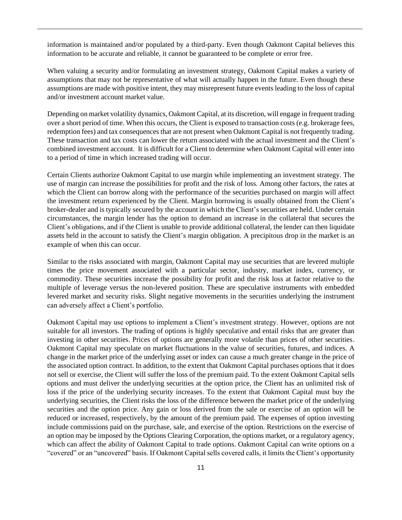information is maintained and/or populated by a third-party. Even though Oakmont Capital believes this information to be accurate and reliable, it cannot be guaranteed to be complete or error free.

When valuing a security and/or formulating an investment strategy, Oakmont Capital makes a variety of assumptions that may not be representative of what will actually happen in the future. Even though these assumptions are made with positive intent, they may misrepresent future events leading to the loss of capital and/or investment account market value.

Depending on market volatility dynamics, Oakmont Capital, at its discretion, will engage in frequent trading over a short period of time. When this occurs, the Client is exposed to transaction costs (e.g. brokerage fees, redemption fees) and tax consequences that are not present when Oakmont Capital is not frequently trading. These transaction and tax costs can lower the return associated with the actual investment and the Client's combined investment account. It is difficult for a Client to determine when Oakmont Capital will enter into to a period of time in which increased trading will occur.

Certain Clients authorize Oakmont Capital to use margin while implementing an investment strategy. The use of margin can increase the possibilities for profit and the risk of loss. Among other factors, the rates at which the Client can borrow along with the performance of the securities purchased on margin will affect the investment return experienced by the Client. Margin borrowing is usually obtained from the Client's broker-dealer and is typically secured by the account in which the Client's securities are held. Under certain circumstances, the margin lender has the option to demand an increase in the collateral that secures the Client's obligations, and if the Client is unable to provide additional collateral, the lender can then liquidate assets held in the account to satisfy the Client's margin obligation. A precipitous drop in the market is an example of when this can occur.

Similar to the risks associated with margin, Oakmont Capital may use securities that are levered multiple times the price movement associated with a particular sector, industry, market index, currency, or commodity. These securities increase the possibility for profit and the risk loss at factor relative to the multiple of leverage versus the non-levered position. These are speculative instruments with embedded levered market and security risks. Slight negative movements in the securities underlying the instrument can adversely affect a Client's portfolio.

Oakmont Capital may use options to implement a Client's investment strategy. However, options are not suitable for all investors. The trading of options is highly speculative and entail risks that are greater than investing in other securities. Prices of options are generally more volatile than prices of other securities. Oakmont Capital may speculate on market fluctuations in the value of securities, futures, and indices. A change in the market price of the underlying asset or index can cause a much greater change in the price of the associated option contract. In addition, to the extent that Oakmont Capital purchases options that it does not sell or exercise, the Client will suffer the loss of the premium paid. To the extent Oakmont Capital sells options and must deliver the underlying securities at the option price, the Client has an unlimited risk of loss if the price of the underlying security increases. To the extent that Oakmont Capital must buy the underlying securities, the Client risks the loss of the difference between the market price of the underlying securities and the option price. Any gain or loss derived from the sale or exercise of an option will be reduced or increased, respectively, by the amount of the premium paid. The expenses of option investing include commissions paid on the purchase, sale, and exercise of the option. Restrictions on the exercise of an option may be imposed by the Options Clearing Corporation, the options market, or a regulatory agency, which can affect the ability of Oakmont Capital to trade options. Oakmont Capital can write options on a "covered" or an "uncovered" basis. If Oakmont Capital sells covered calls, it limits the Client's opportunity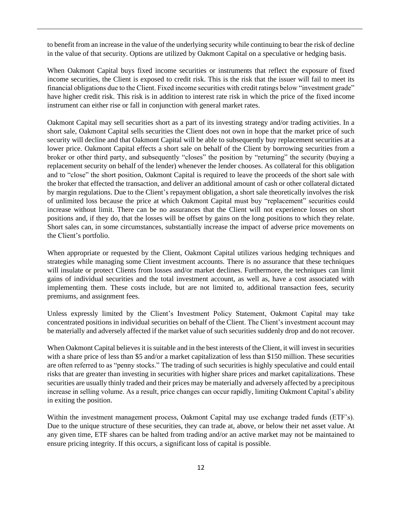to benefit from an increase in the value of the underlying security while continuing to bear the risk of decline in the value of that security. Options are utilized by Oakmont Capital on a speculative or hedging basis.

When Oakmont Capital buys fixed income securities or instruments that reflect the exposure of fixed income securities, the Client is exposed to credit risk. This is the risk that the issuer will fail to meet its financial obligations due to the Client. Fixed income securities with credit ratings below "investment grade" have higher credit risk. This risk is in addition to interest rate risk in which the price of the fixed income instrument can either rise or fall in conjunction with general market rates.

Oakmont Capital may sell securities short as a part of its investing strategy and/or trading activities. In a short sale, Oakmont Capital sells securities the Client does not own in hope that the market price of such security will decline and that Oakmont Capital will be able to subsequently buy replacement securities at a lower price. Oakmont Capital effects a short sale on behalf of the Client by borrowing securities from a broker or other third party, and subsequently "closes" the position by "returning" the security (buying a replacement security on behalf of the lender) whenever the lender chooses. As collateral for this obligation and to "close" the short position, Oakmont Capital is required to leave the proceeds of the short sale with the broker that effected the transaction, and deliver an additional amount of cash or other collateral dictated by margin regulations. Due to the Client's repayment obligation, a short sale theoretically involves the risk of unlimited loss because the price at which Oakmont Capital must buy "replacement" securities could increase without limit. There can be no assurances that the Client will not experience losses on short positions and, if they do, that the losses will be offset by gains on the long positions to which they relate. Short sales can, in some circumstances, substantially increase the impact of adverse price movements on the Client's portfolio.

When appropriate or requested by the Client, Oakmont Capital utilizes various hedging techniques and strategies while managing some Client investment accounts. There is no assurance that these techniques will insulate or protect Clients from losses and/or market declines. Furthermore, the techniques can limit gains of individual securities and the total investment account, as well as, have a cost associated with implementing them. These costs include, but are not limited to, additional transaction fees, security premiums, and assignment fees.

Unless expressly limited by the Client's Investment Policy Statement, Oakmont Capital may take concentrated positions in individual securities on behalf of the Client. The Client's investment account may be materially and adversely affected if the market value of such securities suddenly drop and do not recover.

When Oakmont Capital believes it is suitable and in the best interests of the Client, it will invest in securities with a share price of less than \$5 and/or a market capitalization of less than \$150 million. These securities are often referred to as "penny stocks." The trading of such securities is highly speculative and could entail risks that are greater than investing in securities with higher share prices and market capitalizations. These securities are usually thinly traded and their prices may be materially and adversely affected by a precipitous increase in selling volume. As a result, price changes can occur rapidly, limiting Oakmont Capital's ability in exiting the position.

Within the investment management process, Oakmont Capital may use exchange traded funds (ETF's). Due to the unique structure of these securities, they can trade at, above, or below their net asset value. At any given time, ETF shares can be halted from trading and/or an active market may not be maintained to ensure pricing integrity. If this occurs, a significant loss of capital is possible.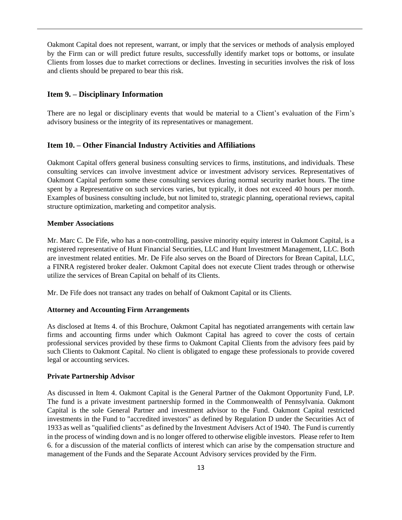Oakmont Capital does not represent, warrant, or imply that the services or methods of analysis employed by the Firm can or will predict future results, successfully identify market tops or bottoms, or insulate Clients from losses due to market corrections or declines. Investing in securities involves the risk of loss and clients should be prepared to bear this risk.

### <span id="page-15-0"></span>**Item 9. – Disciplinary Information**

There are no legal or disciplinary events that would be material to a Client's evaluation of the Firm's advisory business or the integrity of its representatives or management.

### <span id="page-15-1"></span>**Item 10. – Other Financial Industry Activities and Affiliations**

Oakmont Capital offers general business consulting services to firms, institutions, and individuals. These consulting services can involve investment advice or investment advisory services. Representatives of Oakmont Capital perform some these consulting services during normal security market hours. The time spent by a Representative on such services varies, but typically, it does not exceed 40 hours per month. Examples of business consulting include, but not limited to, strategic planning, operational reviews, capital structure optimization, marketing and competitor analysis.

#### **Member Associations**

Mr. Marc C. De Fife, who has a non-controlling, passive minority equity interest in Oakmont Capital, is a registered representative of Hunt Financial Securities, LLC and Hunt Investment Management, LLC. Both are investment related entities. Mr. De Fife also serves on the Board of Directors for Brean Capital, LLC, a FINRA registered broker dealer. Oakmont Capital does not execute Client trades through or otherwise utilize the services of Brean Capital on behalf of its Clients.

Mr. De Fife does not transact any trades on behalf of Oakmont Capital or its Clients.

#### **Attorney and Accounting Firm Arrangements**

As disclosed at Items 4. of this Brochure, Oakmont Capital has negotiated arrangements with certain law firms and accounting firms under which Oakmont Capital has agreed to cover the costs of certain professional services provided by these firms to Oakmont Capital Clients from the advisory fees paid by such Clients to Oakmont Capital. No client is obligated to engage these professionals to provide covered legal or accounting services.

### **Private Partnership Advisor**

As discussed in Item 4. Oakmont Capital is the General Partner of the Oakmont Opportunity Fund, LP. The fund is a private investment partnership formed in the Commonwealth of Pennsylvania. Oakmont Capital is the sole General Partner and investment advisor to the Fund. Oakmont Capital restricted investments in the Fund to "accredited investors" as defined by Regulation D under the Securities Act of 1933 as well as "qualified clients" as defined by the Investment Advisers Act of 1940. The Fund is currently in the process of winding down and is no longer offered to otherwise eligible investors. Please refer to Item 6. for a discussion of the material conflicts of interest which can arise by the compensation structure and management of the Funds and the Separate Account Advisory services provided by the Firm.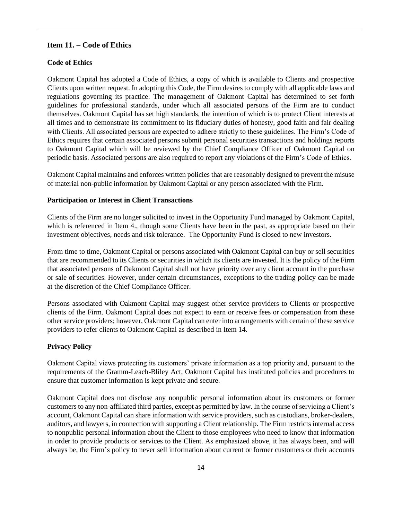# **Item 11. – Code of Ethics**

### **Code of Ethics**

Oakmont Capital has adopted a Code of Ethics, a copy of which is available to Clients and prospective Clients upon written request. In adopting this Code, the Firm desires to comply with all applicable laws and regulations governing its practice. The management of Oakmont Capital has determined to set forth guidelines for professional standards, under which all associated persons of the Firm are to conduct themselves. Oakmont Capital has set high standards, the intention of which is to protect Client interests at all times and to demonstrate its commitment to its fiduciary duties of honesty, good faith and fair dealing with Clients. All associated persons are expected to adhere strictly to these guidelines. The Firm's Code of Ethics requires that certain associated persons submit personal securities transactions and holdings reports to Oakmont Capital which will be reviewed by the Chief Compliance Officer of Oakmont Capital on periodic basis. Associated persons are also required to report any violations of the Firm's Code of Ethics.

Oakmont Capital maintains and enforces written policies that are reasonably designed to prevent the misuse of material non-public information by Oakmont Capital or any person associated with the Firm.

### **Participation or Interest in Client Transactions**

Clients of the Firm are no longer solicited to invest in the Opportunity Fund managed by Oakmont Capital, which is referenced in Item 4., though some Clients have been in the past, as appropriate based on their investment objectives, needs and risk tolerance. The Opportunity Fund is closed to new investors.

From time to time, Oakmont Capital or persons associated with Oakmont Capital can buy or sell securities that are recommended to its Clients or securities in which its clients are invested. It is the policy of the Firm that associated persons of Oakmont Capital shall not have priority over any client account in the purchase or sale of securities. However, under certain circumstances, exceptions to the trading policy can be made at the discretion of the Chief Compliance Officer.

Persons associated with Oakmont Capital may suggest other service providers to Clients or prospective clients of the Firm. Oakmont Capital does not expect to earn or receive fees or compensation from these other service providers; however, Oakmont Capital can enter into arrangements with certain of these service providers to refer clients to Oakmont Capital as described in Item 14.

### **Privacy Policy**

Oakmont Capital views protecting its customers' private information as a top priority and, pursuant to the requirements of the Gramm-Leach-Bliley Act, Oakmont Capital has instituted policies and procedures to ensure that customer information is kept private and secure.

Oakmont Capital does not disclose any nonpublic personal information about its customers or former customers to any non-affiliated third parties, except as permitted by law. In the course of servicing a Client's account, Oakmont Capital can share information with service providers, such as custodians, broker-dealers, auditors, and lawyers, in connection with supporting a Client relationship. The Firm restricts internal access to nonpublic personal information about the Client to those employees who need to know that information in order to provide products or services to the Client. As emphasized above, it has always been, and will always be, the Firm's policy to never sell information about current or former customers or their accounts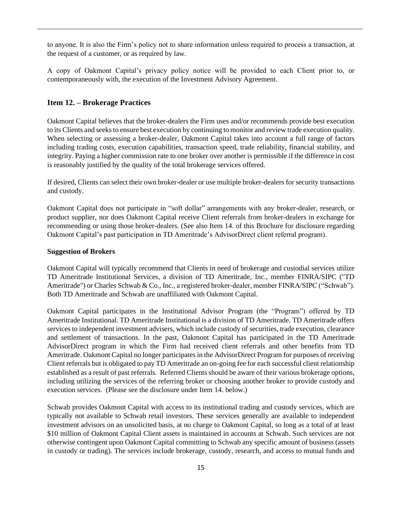to anyone. It is also the Firm's policy not to share information unless required to process a transaction, at the request of a customer, or as required by law.

A copy of Oakmont Capital's privacy policy notice will be provided to each Client prior to, or contemporaneously with, the execution of the Investment Advisory Agreement.

# <span id="page-17-0"></span>**Item 12. – Brokerage Practices**

Oakmont Capital believes that the broker-dealers the Firm uses and/or recommends provide best execution to its Clients and seeks to ensure best execution by continuing to monitor and review trade execution quality. When selecting or assessing a broker-dealer, Oakmont Capital takes into account a full range of factors including trading costs, execution capabilities, transaction speed, trade reliability, financial stability, and integrity. Paying a higher commission rate to one broker over another is permissible if the difference in cost is reasonably justified by the quality of the total brokerage services offered.

If desired, Clients can select their own broker-dealer or use multiple broker-dealers for security transactions and custody.

Oakmont Capital does not participate in "soft dollar" arrangements with any broker-dealer, research, or product supplier, nor does Oakmont Capital receive Client referrals from broker-dealers in exchange for recommending or using those broker-dealers. (See also Item 14. of this Brochure for disclosure regarding Oakmont Capital's past participation in TD Ameritrade's AdvisorDirect client referral program).

#### **Suggestion of Brokers**

Oakmont Capital will typically recommend that Clients in need of brokerage and custodial services utilize TD Ameritrade Institutional Services, a division of TD Ameritrade, Inc., member FINRA/SIPC ("TD Ameritrade") or Charles Schwab & Co., Inc., a registered broker-dealer, member FINRA/SIPC ("Schwab"). Both TD Ameritrade and Schwab are unaffiliated with Oakmont Capital.

Oakmont Capital participates in the Institutional Advisor Program (the "Program") offered by TD Ameritrade Institutional. TD Ameritrade Institutional is a division of TD Ameritrade. TD Ameritrade offers services to independent investment advisers, which include custody of securities, trade execution, clearance and settlement of transactions. In the past, Oakmont Capital has participated in the TD Ameritrade AdvisorDirect program in which the Firm had received client referrals and other benefits from TD Ameritrade. Oakmont Capital no longer participates in the AdvisorDirect Program for purposes of receiving Client referrals but is obligated to pay TD Ameritrade an on-going fee for each successful client relationship established as a result of past referrals. Referred Clients should be aware of their various brokerage options, including utilizing the services of the referring broker or choosing another broker to provide custody and execution services. (Please see the disclosure under Item 14. below.)

Schwab provides Oakmont Capital with access to its institutional trading and custody services, which are typically not available to Schwab retail investors. These services generally are available to independent investment advisors on an unsolicited basis, at no charge to Oakmont Capital, so long as a total of at least \$10 million of Oakmont Capital Client assets is maintained in accounts at Schwab. Such services are not otherwise contingent upon Oakmont Capital committing to Schwab any specific amount of business (assets in custody or trading). The services include brokerage, custody, research, and access to mutual funds and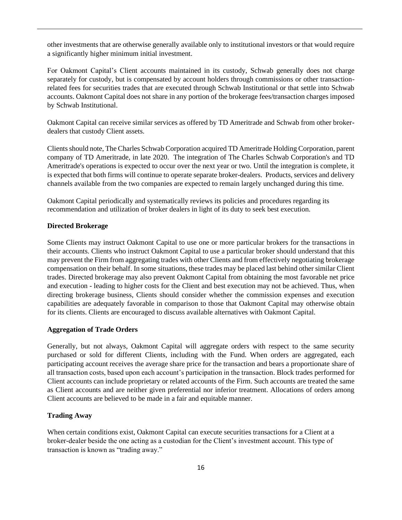other investments that are otherwise generally available only to institutional investors or that would require a significantly higher minimum initial investment.

For Oakmont Capital's Client accounts maintained in its custody, Schwab generally does not charge separately for custody, but is compensated by account holders through commissions or other transactionrelated fees for securities trades that are executed through Schwab Institutional or that settle into Schwab accounts. Oakmont Capital does not share in any portion of the brokerage fees/transaction charges imposed by Schwab Institutional.

Oakmont Capital can receive similar services as offered by TD Ameritrade and Schwab from other brokerdealers that custody Client assets.

Clients should note, The Charles Schwab Corporation acquired TD Ameritrade Holding Corporation, parent company of TD Ameritrade, in late 2020. The integration of The Charles Schwab Corporation's and TD Ameritrade's operations is expected to occur over the next year or two. Until the integration is complete, it is expected that both firms will continue to operate separate broker-dealers. Products, services and delivery channels available from the two companies are expected to remain largely unchanged during this time.

Oakmont Capital periodically and systematically reviews its policies and procedures regarding its recommendation and utilization of broker dealers in light of its duty to seek best execution.

### **Directed Brokerage**

Some Clients may instruct Oakmont Capital to use one or more particular brokers for the transactions in their accounts. Clients who instruct Oakmont Capital to use a particular broker should understand that this may prevent the Firm from aggregating trades with other Clients and from effectively negotiating brokerage compensation on their behalf. In some situations, these trades may be placed last behind other similar Client trades. Directed brokerage may also prevent Oakmont Capital from obtaining the most favorable net price and execution - leading to higher costs for the Client and best execution may not be achieved. Thus, when directing brokerage business, Clients should consider whether the commission expenses and execution capabilities are adequately favorable in comparison to those that Oakmont Capital may otherwise obtain for its clients. Clients are encouraged to discuss available alternatives with Oakmont Capital.

#### **Aggregation of Trade Orders**

Generally, but not always, Oakmont Capital will aggregate orders with respect to the same security purchased or sold for different Clients, including with the Fund. When orders are aggregated, each participating account receives the average share price for the transaction and bears a proportionate share of all transaction costs, based upon each account's participation in the transaction. Block trades performed for Client accounts can include proprietary or related accounts of the Firm. Such accounts are treated the same as Client accounts and are neither given preferential nor inferior treatment. Allocations of orders among Client accounts are believed to be made in a fair and equitable manner.

### **Trading Away**

When certain conditions exist, Oakmont Capital can execute securities transactions for a Client at a broker-dealer beside the one acting as a custodian for the Client's investment account. This type of transaction is known as "trading away."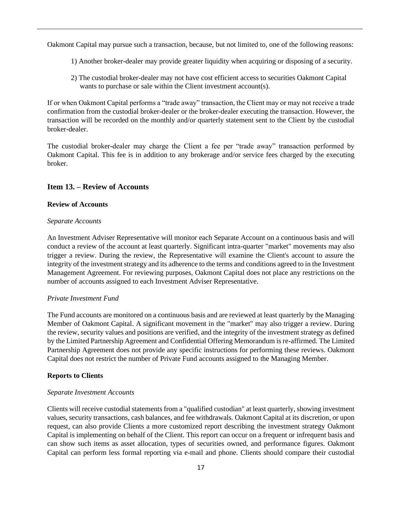Oakmont Capital may pursue such a transaction, because, but not limited to, one of the following reasons:

- 1) Another broker-dealer may provide greater liquidity when acquiring or disposing of a security.
- 2) The custodial broker-dealer may not have cost efficient access to securities Oakmont Capital wants to purchase or sale within the Client investment account(s).

If or when Oakmont Capital performs a "trade away" transaction, the Client may or may not receive a trade confirmation from the custodial broker-dealer or the broker-dealer executing the transaction. However, the transaction will be recorded on the monthly and/or quarterly statement sent to the Client by the custodial broker-dealer.

The custodial broker-dealer may charge the Client a fee per "trade away" transaction performed by Oakmont Capital. This fee is in addition to any brokerage and/or service fees charged by the executing broker.

### <span id="page-19-0"></span>**Item 13. – Review of Accounts**

### **Review of Accounts**

### *Separate Accounts*

An Investment Adviser Representative will monitor each Separate Account on a continuous basis and will conduct a review of the account at least quarterly. Significant intra-quarter "market" movements may also trigger a review. During the review, the Representative will examine the Client's account to assure the integrity of the investment strategy and its adherence to the terms and conditions agreed to in the Investment Management Agreement. For reviewing purposes, Oakmont Capital does not place any restrictions on the number of accounts assigned to each Investment Adviser Representative.

### *Private Investment Fund*

The Fund accounts are monitored on a continuous basis and are reviewed at least quarterly by the Managing Member of Oakmont Capital. A significant movement in the "market" may also trigger a review. During the review, security values and positions are verified, and the integrity of the investment strategy as defined by the Limited Partnership Agreement and Confidential Offering Memorandum is re-affirmed. The Limited Partnership Agreement does not provide any specific instructions for performing these reviews. Oakmont Capital does not restrict the number of Private Fund accounts assigned to the Managing Member.

### **Reports to Clients**

### *Separate Investment Accounts*

Clients will receive custodial statements from a "qualified custodian" at least quarterly, showing investment values, security transactions, cash balances, and fee withdrawals. Oakmont Capital at its discretion, or upon request, can also provide Clients a more customized report describing the investment strategy Oakmont Capital is implementing on behalf of the Client. This report can occur on a frequent or infrequent basis and can show such items as asset allocation, types of securities owned, and performance figures. Oakmont Capital can perform less formal reporting via e-mail and phone. Clients should compare their custodial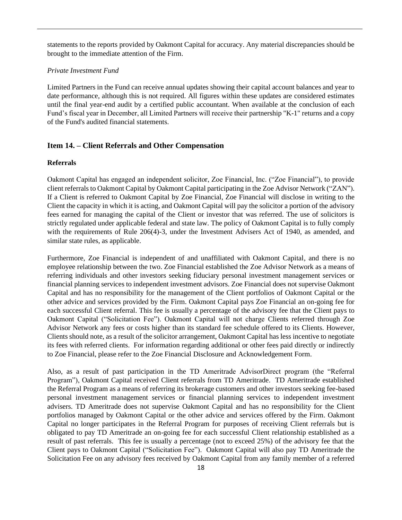statements to the reports provided by Oakmont Capital for accuracy. Any material discrepancies should be brought to the immediate attention of the Firm.

### *Private Investment Fund*

Limited Partners in the Fund can receive annual updates showing their capital account balances and year to date performance, although this is not required. All figures within these updates are considered estimates until the final year-end audit by a certified public accountant. When available at the conclusion of each Fund's fiscal year in December, all Limited Partners will receive their partnership "K-1" returns and a copy of the Fund's audited financial statements.

### <span id="page-20-0"></span>**Item 14. – Client Referrals and Other Compensation**

#### **Referrals**

Oakmont Capital has engaged an independent solicitor, Zoe Financial, Inc. ("Zoe Financial"), to provide client referrals to Oakmont Capital by Oakmont Capital participating in the Zoe Advisor Network ("ZAN"). If a Client is referred to Oakmont Capital by Zoe Financial, Zoe Financial will disclose in writing to the Client the capacity in which it is acting, and Oakmont Capital will pay the solicitor a portion of the advisory fees earned for managing the capital of the Client or investor that was referred. The use of solicitors is strictly regulated under applicable federal and state law. The policy of Oakmont Capital is to fully comply with the requirements of Rule 206(4)-3, under the Investment Advisers Act of 1940, as amended, and similar state rules, as applicable.

Furthermore, Zoe Financial is independent of and unaffiliated with Oakmont Capital, and there is no employee relationship between the two. Zoe Financial established the Zoe Advisor Network as a means of referring individuals and other investors seeking fiduciary personal investment management services or financial planning services to independent investment advisors. Zoe Financial does not supervise Oakmont Capital and has no responsibility for the management of the Client portfolios of Oakmont Capital or the other advice and services provided by the Firm. Oakmont Capital pays Zoe Financial an on-going fee for each successful Client referral. This fee is usually a percentage of the advisory fee that the Client pays to Oakmont Capital ("Solicitation Fee"). Oakmont Capital will not charge Clients referred through Zoe Advisor Network any fees or costs higher than its standard fee schedule offered to its Clients. However, Clients should note, as a result of the solicitor arrangement, Oakmont Capital has less incentive to negotiate its fees with referred clients. For information regarding additional or other fees paid directly or indirectly to Zoe Financial, please refer to the Zoe Financial Disclosure and Acknowledgement Form.

Also, as a result of past participation in the TD Ameritrade AdvisorDirect program (the "Referral Program"), Oakmont Capital received Client referrals from TD Ameritrade. TD Ameritrade established the Referral Program as a means of referring its brokerage customers and other investors seeking fee-based personal investment management services or financial planning services to independent investment advisers. TD Ameritrade does not supervise Oakmont Capital and has no responsibility for the Client portfolios managed by Oakmont Capital or the other advice and services offered by the Firm. Oakmont Capital no longer participates in the Referral Program for purposes of receiving Client referrals but is obligated to pay TD Ameritrade an on-going fee for each successful Client relationship established as a result of past referrals. This fee is usually a percentage (not to exceed 25%) of the advisory fee that the Client pays to Oakmont Capital ("Solicitation Fee"). Oakmont Capital will also pay TD Ameritrade the Solicitation Fee on any advisory fees received by Oakmont Capital from any family member of a referred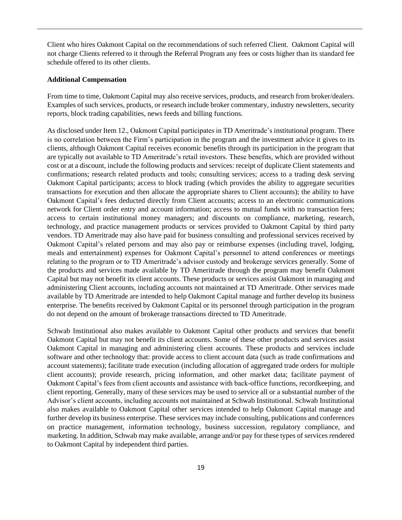Client who hires Oakmont Capital on the recommendations of such referred Client. Oakmont Capital will not charge Clients referred to it through the Referral Program any fees or costs higher than its standard fee schedule offered to its other clients.

#### **Additional Compensation**

From time to time, Oakmont Capital may also receive services, products, and research from broker/dealers. Examples of such services, products, or research include broker commentary, industry newsletters, security reports, block trading capabilities, news feeds and billing functions.

As disclosed under Item 12., Oakmont Capital participates in TD Ameritrade's institutional program. There is no correlation between the Firm's participation in the program and the investment advice it gives to its clients, although Oakmont Capital receives economic benefits through its participation in the program that are typically not available to TD Ameritrade's retail investors. These benefits, which are provided without cost or at a discount, include the following products and services: receipt of duplicate Client statements and confirmations; research related products and tools; consulting services; access to a trading desk serving Oakmont Capital participants; access to block trading (which provides the ability to aggregate securities transactions for execution and then allocate the appropriate shares to Client accounts); the ability to have Oakmont Capital's fees deducted directly from Client accounts; access to an electronic communications network for Client order entry and account information; access to mutual funds with no transaction fees; access to certain institutional money managers; and discounts on compliance, marketing, research, technology, and practice management products or services provided to Oakmont Capital by third party vendors. TD Ameritrade may also have paid for business consulting and professional services received by Oakmont Capital's related persons and may also pay or reimburse expenses (including travel, lodging, meals and entertainment) expenses for Oakmont Capital's personnel to attend conferences or meetings relating to the program or to TD Ameritrade's advisor custody and brokerage services generally. Some of the products and services made available by TD Ameritrade through the program may benefit Oakmont Capital but may not benefit its client accounts. These products or services assist Oakmont in managing and administering Client accounts, including accounts not maintained at TD Ameritrade. Other services made available by TD Ameritrade are intended to help Oakmont Capital manage and further develop its business enterprise. The benefits received by Oakmont Capital or its personnel through participation in the program do not depend on the amount of brokerage transactions directed to TD Ameritrade.

Schwab Institutional also makes available to Oakmont Capital other products and services that benefit Oakmont Capital but may not benefit its client accounts. Some of these other products and services assist Oakmont Capital in managing and administering client accounts. These products and services include software and other technology that: provide access to client account data (such as trade confirmations and account statements); facilitate trade execution (including allocation of aggregated trade orders for multiple client accounts); provide research, pricing information, and other market data; facilitate payment of Oakmont Capital's fees from client accounts and assistance with back-office functions, recordkeeping, and client reporting. Generally, many of these services may be used to service all or a substantial number of the Advisor's client accounts, including accounts not maintained at Schwab Institutional. Schwab Institutional also makes available to Oakmont Capital other services intended to help Oakmont Capital manage and further develop its business enterprise. These services may include consulting, publications and conferences on practice management, information technology, business succession, regulatory compliance, and marketing. In addition, Schwab may make available, arrange and/or pay for these types of services rendered to Oakmont Capital by independent third parties.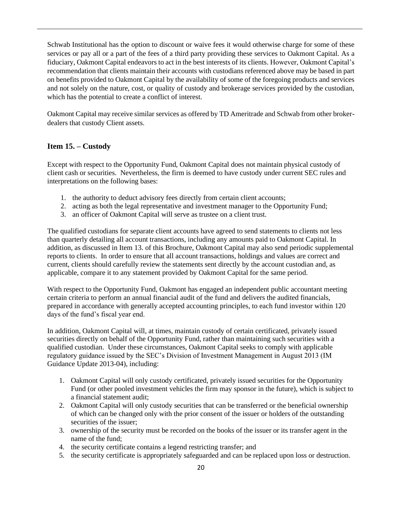Schwab Institutional has the option to discount or waive fees it would otherwise charge for some of these services or pay all or a part of the fees of a third party providing these services to Oakmont Capital. As a fiduciary, Oakmont Capital endeavors to act in the best interests of its clients. However, Oakmont Capital's recommendation that clients maintain their accounts with custodians referenced above may be based in part on benefits provided to Oakmont Capital by the availability of some of the foregoing products and services and not solely on the nature, cost, or quality of custody and brokerage services provided by the custodian, which has the potential to create a conflict of interest.

Oakmont Capital may receive similar services as offered by TD Ameritrade and Schwab from other brokerdealers that custody Client assets.

# <span id="page-22-0"></span>**Item 15. – Custody**

Except with respect to the Opportunity Fund, Oakmont Capital does not maintain physical custody of client cash or securities. Nevertheless, the firm is deemed to have custody under current SEC rules and interpretations on the following bases:

- 1. the authority to deduct advisory fees directly from certain client accounts;
- 2. acting as both the legal representative and investment manager to the Opportunity Fund;
- 3. an officer of Oakmont Capital will serve as trustee on a client trust.

The qualified custodians for separate client accounts have agreed to send statements to clients not less than quarterly detailing all account transactions, including any amounts paid to Oakmont Capital. In addition, as discussed in Item 13. of this Brochure, Oakmont Capital may also send periodic supplemental reports to clients. In order to ensure that all account transactions, holdings and values are correct and current, clients should carefully review the statements sent directly by the account custodian and, as applicable, compare it to any statement provided by Oakmont Capital for the same period.

With respect to the Opportunity Fund, Oakmont has engaged an independent public accountant meeting certain criteria to perform an annual financial audit of the fund and delivers the audited financials, prepared in accordance with generally accepted accounting principles, to each fund investor within 120 days of the fund's fiscal year end.

In addition, Oakmont Capital will, at times, maintain custody of certain certificated, privately issued securities directly on behalf of the Opportunity Fund, rather than maintaining such securities with a qualified custodian. Under these circumstances, Oakmont Capital seeks to comply with applicable regulatory guidance issued by the SEC's Division of Investment Management in August 2013 (IM Guidance Update 2013-04), including:

- 1. Oakmont Capital will only custody certificated, privately issued securities for the Opportunity Fund (or other pooled investment vehicles the firm may sponsor in the future), which is subject to a financial statement audit;
- 2. Oakmont Capital will only custody securities that can be transferred or the beneficial ownership of which can be changed only with the prior consent of the issuer or holders of the outstanding securities of the issuer;
- 3. ownership of the security must be recorded on the books of the issuer or its transfer agent in the name of the fund;
- 4. the security certificate contains a legend restricting transfer; and
- 5. the security certificate is appropriately safeguarded and can be replaced upon loss or destruction.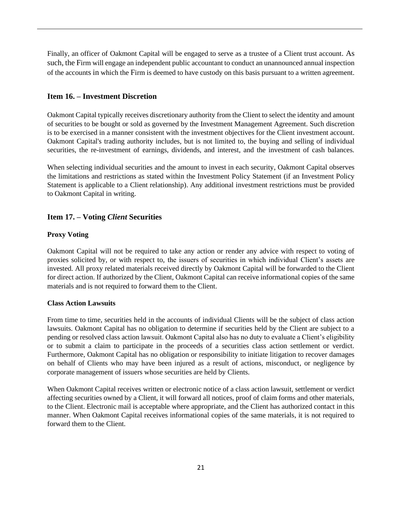Finally, an officer of Oakmont Capital will be engaged to serve as a trustee of a Client trust account. As such, the Firm will engage an independent public accountant to conduct an unannounced annual inspection of the accounts in which the Firm is deemed to have custody on this basis pursuant to a written agreement.

# <span id="page-23-0"></span>**Item 16. – Investment Discretion**

Oakmont Capital typically receives discretionary authority from the Client to select the identity and amount of securities to be bought or sold as governed by the Investment Management Agreement. Such discretion is to be exercised in a manner consistent with the investment objectives for the Client investment account. Oakmont Capital's trading authority includes, but is not limited to, the buying and selling of individual securities, the re-investment of earnings, dividends, and interest, and the investment of cash balances.

When selecting individual securities and the amount to invest in each security, Oakmont Capital observes the limitations and restrictions as stated within the Investment Policy Statement (if an Investment Policy Statement is applicable to a Client relationship). Any additional investment restrictions must be provided to Oakmont Capital in writing.

# <span id="page-23-1"></span>**Item 17. – Voting** *Client* **Securities**

# **Proxy Voting**

Oakmont Capital will not be required to take any action or render any advice with respect to voting of proxies solicited by, or with respect to, the issuers of securities in which individual Client's assets are invested. All proxy related materials received directly by Oakmont Capital will be forwarded to the Client for direct action. If authorized by the Client, Oakmont Capital can receive informational copies of the same materials and is not required to forward them to the Client.

### **Class Action Lawsuits**

From time to time, securities held in the accounts of individual Clients will be the subject of class action lawsuits. Oakmont Capital has no obligation to determine if securities held by the Client are subject to a pending or resolved class action lawsuit. Oakmont Capital also has no duty to evaluate a Client's eligibility or to submit a claim to participate in the proceeds of a securities class action settlement or verdict. Furthermore, Oakmont Capital has no obligation or responsibility to initiate litigation to recover damages on behalf of Clients who may have been injured as a result of actions, misconduct, or negligence by corporate management of issuers whose securities are held by Clients.

When Oakmont Capital receives written or electronic notice of a class action lawsuit, settlement or verdict affecting securities owned by a Client, it will forward all notices, proof of claim forms and other materials, to the Client. Electronic mail is acceptable where appropriate, and the Client has authorized contact in this manner. When Oakmont Capital receives informational copies of the same materials, it is not required to forward them to the Client.